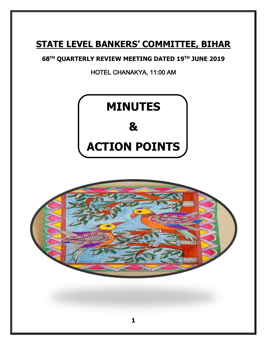# **STATE LEVEL BANKERS' COMMITTEE, BIHAR**

## **68TH QUARTERLY REVIEW MEETING DATED 19TH JUNE 2019**

HOTEL CHANAKYA, 11:00 AM



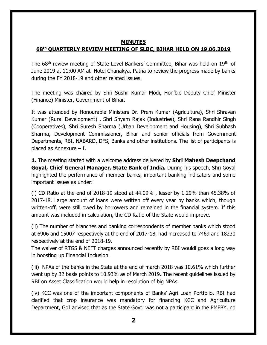#### **MINUTES**

## **68th QUARTERLY REVIEW MEETING OF SLBC, BIHAR HELD ON 19.06.2019**

The 68<sup>th</sup> review meeting of State Level Bankers' Committee, Bihar was held on 19<sup>th</sup> of June 2019 at 11:00 AM at Hotel Chanakya, Patna to review the progress made by banks during the FY 2018-19 and other related issues.

The meeting was chaired by Shri Sushil Kumar Modi, Hon'ble Deputy Chief Minister (Finance) Minister, Government of Bihar.

It was attended by Honourable Ministers Dr. Prem Kumar (Agriculture), Shri Shravan Kumar (Rural Development) , Shri Shyam Rajak (Industries), Shri Rana Randhir Singh (Cooperatives), Shri Suresh Sharma (Urban Development and Housing), Shri Subhash Sharma, Development Commissioner, Bihar and senior officials from Government Departments, RBI, NABARD, DFS, Banks and other institutions. The list of participants is placed as Annexure – I.

**1.** The meeting started with a welcome address delivered by **Shri Mahesh Deepchand Goyal, Chief General Manager, State Bank of India.** During his speech, Shri Goyal highlighted the performance of member banks, important banking indicators and some important issues as under:

(i) CD Ratio at the end of 2018-19 stood at 44.09% , lesser by 1.29% than 45.38% of 2017-18. Large amount of loans were written off every year by banks which, though written-off, were still owed by borrowers and remained in the financial system. If this amount was included in calculation, the CD Ratio of the State would improve.

(ii) The number of branches and banking correspondents of member banks which stood at 6906 and 15007 respectively at the end of 2017-18, had increased to 7469 and 18230 respectively at the end of 2018-19.

The waiver of RTGS & NEFT charges announced recently by RBI wouldl goes a long way in boosting up Financial Inclusion.

(iii) NPAs of the banks in the State at the end of march 2018 was 10.61% which further went up by 32 basis points to 10.93% as of March 2019. The recent guidelines issued by RBI on Asset Classification would help in resolution of big NPAs.

(iv) KCC was one of the important components of Banks' Agri Loan Portfolio. RBI had clarified that crop insurance was mandatory for financing KCC and Agriculture Department, GoI advised that as the State Govt. was not a participant in the PMFBY, no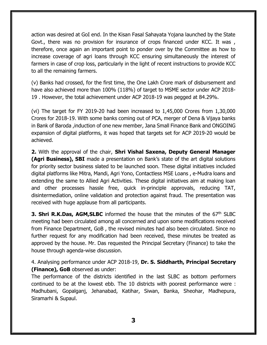action was desired at GoI end. In the Kisan Fasal Sahayata Yojana launched by the State Govt., there was no provision for insurance of crops financed under KCC. It was, therefore, once again an important point to ponder over by the Committee as how to increase coverage of agri loans through KCC ensuring simultaneously the interest of farmers in case of crop loss, particularly in the light of recent instructions to provide KCC to all the remaining farmers.

(v) Banks had crossed, for the first time, the One Lakh Crore mark of disbursement and have also achieved more than 100% (118%) of target to MSME sector under ACP 2018- 19 . However, the total achievement under ACP 2018-19 was pegged at 84.29%.

(vi) The target for FY 2019-20 had been increased to 1,45,000 Crores from 1,30,000 Crores for 2018-19. With some banks coming out of PCA, merger of Dena & Vijaya banks in Bank of Baroda ,induction of one new member, Jana Small Finance Bank and ONGOING expansion of digital platforms, it was hoped that targets set for ACP 2019-20 would be achieved.

**2.** With the approval of the chair, **Shri Vishal Saxena, Deputy General Manager (Agri Business), SBI** made a presentation on Bank's state of the art digital solutions for priority sector business slated to be launched soon. These digital initiatives included digital platforms like Mitra, Mandi, Agri Yono, Contactless MSE Loans , e-Mudra loans and extending the same to Allied Agri Activities. These digital initiatives aim at making loan and other processes hassle free, quick in-principle approvals, reducing TAT, disintermediation, online validation and protection against fraud. The presentation was received with huge applause from all participants.

**3. Shri R.K.Das, AGM, SLBC** informed the house that the minutes of the 67<sup>th</sup> SLBC meeting had been circulated among all concerned and upon some modifications received from Finance Department, GoB , the revised minutes had also been circulated. Since no further request for any modification had been received, these minutes be treated as approved by the house. Mr. Das requested the Principal Secretary (Finance) to take the house through agenda-wise discussion.

4. Analysing performance under ACP 2018-19, **Dr. S. Siddharth, Principal Secretary (Finance), GoB** observed as under:

The performance of the districts identified in the last SLBC as bottom performers continued to be at the lowest ebb. The 10 districts with poorest performance were : Madhubani, Gopalganj, Jehanabad, Katihar, Siwan, Banka, Sheohar, Madhepura, Siramarhi & Supaul.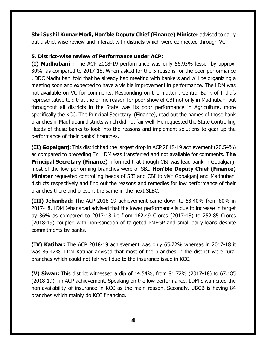**Shri Sushil Kumar Modi, Hon'ble Deputy Chief (Finance) Minister** advised to carry out district-wise review and interact with districts which were connected through VC.

#### **5. District-wise review of Performance under ACP:**

**(I) Madhubani :** The ACP 2018-19 performance was only 56.93% lesser by approx. 30% as compared to 2017-18. When asked for the 5 reasons for the poor performance , DDC Madhubani told that he already had meeting with bankers and will be organizing a meeting soon and expected to have a visible improvement in performance. The LDM was not available on VC for comments. Responding on the matter , Central Bank of India's representative told that the prime reason for poor show of CBI not only in Madhubani but throughout all districts in the State was its poor performance in Agriculture, more specifically the KCC. The Principal Secretary (Finance), read out the names of those bank branches in Madhubani districts which did not fair well. He requested the State Controlling Heads of these banks to look into the reasons and implement solutions to gear up the performance of their banks' branches.

**(II) Gopalganj:** This district had the largest drop in ACP 2018-19 achievement (20.54%) as compared to preceding FY. LDM was transferred and not available for comments. **The Principal Secretary (Finance)** informed that though CBI was lead bank in Gopalganj, most of the low performing branches were of SBI. **Hon'ble Deputy Chief (Finance) Minister** requested controlling heads of SBI and CBI to visit Gopalganj and Madhubani districts respectively and find out the reasons and remedies for low performance of their branches there and present the same in the next SLBC.

**(III) Jehanbad:** The ACP 2018-19 achievement came down to 63.40% from 80% in 2017-18. LDM Jehanabad advised that the lower performance is due to increase in target by 36% as compared to 2017-18 i.e from 162.49 Crores (2017-18) to 252.85 Crores (2018-19) coupled with non-sanction of targeted PMEGP and small dairy loans despite commitments by banks.

**(IV) Katihar:** The ACP 2018-19 achievement was only 65.72% whereas in 2017-18 it was 86.42%. LDM Katihar advised that most of the branches in the district were rural branches which could not fair well due to the insurance issue in KCC.

**(V) Siwan:** This district witnessed a dip of 14.54%, from 81.72% (2017-18) to 67.185 (2018-19), in ACP achievement. Speaking on the low performance, LDM Siwan cited the non-availability of insurance in KCC as the main reason. Secondly, UBGB is having 84 branches which mainly do KCC financing.

**4**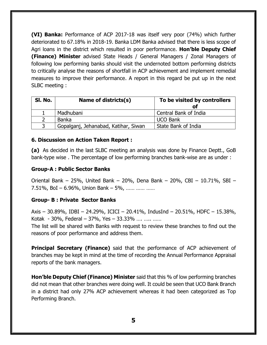**(VI) Banka:** Performance of ACP 2017-18 was itself very poor (74%) which further deteriorated to 67.18% in 2018-19. Banka LDM Banka advised that there is less scope of Agri loans in the district which resulted in poor performance. **Hon'ble Deputy Chief (Finance) Minister** advised State Heads / General Managers / Zonal Managers of following low performing banks should visit the undernoted bottom performing districts to critically analyse the reasons of shortfall in ACP achievement and implement remedial measures to improve their performance. A report in this regard be put up in the next SLBC meeting :

| SI. No. | Name of districts(s)                 | To be visited by controllers<br>of |
|---------|--------------------------------------|------------------------------------|
|         | Madhubani                            | Central Bank of India              |
|         | <b>Banka</b>                         | <b>UCO Bank</b>                    |
|         | Gopalganj, Jehanabad, Katihar, Siwan | State Bank of India                |

#### **6. Discussion on Action Taken Report :**

**(a)** As decided in the last SLBC meeting an analysis was done by Finance Deptt., GoB bank-type wise . The percentage of low performing branches bank-wise are as under :

#### **Group-A : Public Sector Banks**

Oriental Bank – 25%, United Bank – 20%, Dena Bank – 20%, CBI – 10.71%, SBI – 7.51%, BoI – 6.96%, Union Bank – 5%, …… …… ……

#### **Group- B : Private Sector Banks**

Axis – 30.89%, IDBI – 24.29%, ICICI – 20.41%, IndusInd – 20.51%, HDFC – 15.38%, Kotak - 30%, Federal – 37%, Yes – 33.33% …. ….. ……

The list will be shared with Banks with request to review these branches to find out the reasons of poor performance and address them.

**Principal Secretary (Finance)** said that the performance of ACP achievement of branches may be kept in mind at the time of recording the Annual Performance Appraisal reports of the bank managers.

**Hon'ble Deputy Chief (Finance) Minister** said that this % of low performing branches did not mean that other branches were doing well. It could be seen that UCO Bank Branch in a district had only 27% ACP achievement whereas it had been categorized as Top Performing Branch.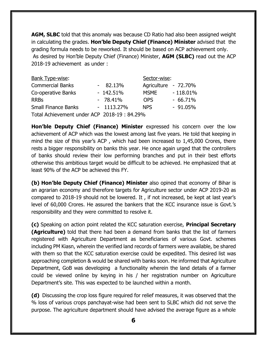**AGM, SLBC** told that this anomaly was because CD Ratio had also been assigned weight in calculating the grades. **Hon'ble Deputy Chief (Finance) Minister** advised that the grading formula needs to be reworked. It should be based on ACP achievement only. As desired by Hon'ble Deputy Chief (Finance) Minister, **AGM (SLBC)** read out the ACP 2018-19 achievement as under :

| Bank Type-wise:                              |  | Sector-wise: |                      |             |
|----------------------------------------------|--|--------------|----------------------|-------------|
| <b>Commercial Banks</b>                      |  | $-82.13%$    | Agriculture - 72.70% |             |
| Co-operative Banks                           |  | $-142.51%$   | <b>MSME</b>          | $-118.01\%$ |
| <b>RRBs</b>                                  |  | $-78.41%$    | <b>OPS</b>           | $-66,71\%$  |
| <b>Small Finance Banks</b>                   |  | $-1113.27\%$ | <b>NPS</b>           | $-91.05\%$  |
| Total Achievement under ACP 2018-19 : 84.29% |  |              |                      |             |

**Hon'ble Deputy Chief (Finance) Minister** expressed his concern over the low achievement of ACP which was the lowest among last five years. He told that keeping in mind the size of this year's ACP , which had been increased to 1,45,000 Crores, there rests a bigger responsibility on banks this year. He once again urged that the controllers of banks should review their low performing branches and put in their best efforts otherwise this ambitious target would be difficult to be achieved. He emphasized that at least 90% of the ACP be achieved this FY.

**(b) Hon'ble Deputy Chief (Finance) Minister** also opined that economy of Bihar is an agrarian economy and therefore targets for Agriculture sector under ACP 2019-20 as compared to 2018-19 should not be lowered. It , if not increased, be kept at last year's level of 60,000 Crores. He assured the bankers that the KCC insurance issue is Govt.'s responsibility and they were committed to resolve it.

**(c)** Speaking on action point related the KCC saturation exercise, **Principal Secretary (Agriculture)** told that there had been a demand from banks that the list of farmers registered with Agriculture Department as beneficiaries of various Govt. schemes including PM Kiasn, wherein the verified land records of farmers were available, be shared with them so that the KCC saturation exercise could be expedited. This desired list was approaching completion & would be shared with banks soon. He informed that Agriculture Department, GoB was developing a functionality wherein the land details of a farmer could be viewed online by keying in his / her registration number on Agriculture Department's site. This was expected to be launched within a month.

**(d)** Discussing the crop loss figure required for relief measures, it was observed that the % loss of various crops panchayat-wise had been sent to SLBC which did not serve the purpose. The agriculture department should have advised the average figure as a whole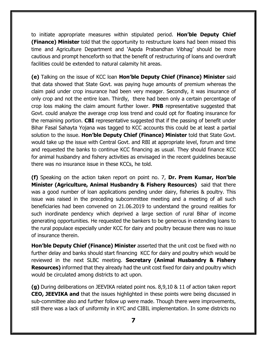to initiate appropriate measures within stipulated period. **Hon'ble Deputy Chief (Finance) Minister** told that the opportunity to restructure loans had been missed this time and Agriculture Department and 'Aapda Prabandhan Vibhag' should be more cautious and prompt henceforth so that the benefit of restructuring of loans and overdraft facilities could be extended to natural calamity hit areas.

**(e)** Talking on the issue of KCC loan **Hon'ble Deputy Chief (Finance) Minister** said that data showed that State Govt. was paying huge amounts of premium whereas the claim paid under crop insurance had been very meager. Secondly, it was insurance of only crop and not the entire loan. Thirdly, there had been only a certain percentage of crop loss making the claim amount further lower. **PNB** representative suggested that Govt. could analyze the average crop loss trend and could opt for floating insurance for the remaining portion. **CBI** representative suggested that if the passing of benefit under Bihar Fasal Sahayta Yojana was tagged to KCC accounts this could be at least a partial solution to the issue. **Hon'ble Deputy Chief (Finance) Minister** told that State Govt. would take up the issue with Central Govt. and RBI at appropriate level, forum and time and requested the banks to continue KCC financing as usual. They should finance KCC for animal husbandry and fishery activities as envisaged in the recent guidelines because there was no insurance issue in these KCCs, he told.

**(f)** Speaking on the action taken report on point no. 7, **Dr. Prem Kumar, Hon'ble Minister (Agriculture, Animal Husbandry & Fishery Resources)** said that there was a good number of loan applications pending under dairy, fisheries & poultry. This issue was raised in the preceding subcommittee meeting and a meeting of all such beneficiaries had been convened on 21.06.2019 to understand the ground realities for such inordinate pendency which deprived a large section of rural Bihar of income generating opportunities. He requested the bankers to be generous in extending loans to the rural populace especially under KCC for dairy and poultry because there was no issue of insurance therein.

**Hon'ble Deputy Chief (Finance) Minister** asserted that the unit cost be fixed with no further delay and banks should start financing KCC for dairy and poultry which would be reviewed in the next SLBC meeting. **Secretary (Animal Husbandry & Fishery Resources)** informed that they already had the unit cost fixed for dairy and poultry which would be circulated among districts to act upon.

**(g)** During deliberations on JEEVIKA related point nos. 8,9,10 & 11 of action taken report **CEO, JEEVIKA and** that the issues highlighted in these points were being discussed in sub-committee also and further follow up were made. Though there were improvements, still there was a lack of uniformity in KYC and CIBIL implementation. In some districts no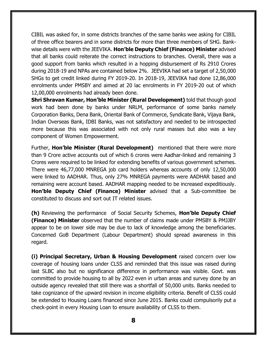CIBIL was asked for, in some districts branches of the same banks wee asking for CIBIL of three office bearers and in some districts for more than three members of SHG. Bankwise details were with the JEEVIKA. **Hon'ble Deputy Chief (Finance) Minister** advised that all banks could reiterate the correct instructions to branches. Overall, there was a good support from banks which resulted in a hopping disbursement of Rs 2910 Crores during 2018-19 and NPAs are contained below 2%. JEEVIKA had set a target of 2,50,000 SHGs to get credit linked during FY 2019-20. In 2018-19, JEEVIKA had done 12,86,000 enrolments under PMSBY and aimed at 20 lac enrolments in FY 2019-20 out of which 12,00,000 enrolments had already been done.

**Shri Shravan Kumar, Hon'ble Minister (Rural Development)** told that though good work had been done by banks under NRLM, performance of some banks namely Corporation Banks, Dena Bank, Oriental Bank of Commerce, Syndicate Bank, Vijaya Bank, Indian Overseas Bank, IDBI Banks, was not satisfactory and needed to be introspected more because this was associated with not only rural masses but also was a key component of Women Empowerment.

Further, **Hon'ble Minister (Rural Development)** mentioned that there were more than 9 Crore active accounts out of which 6 crores were Aadhar-linked and remaining 3 Crores were required to be linked for extending benefits of various government schemes. There were 46,77,000 MNREGA job card holders whereas accounts of only 12,50,000 were linked to AADHAR. Thus, only 27% MNREGA payments were AADHAR based and remaining were account based. AADHAR mapping needed to be increased expeditiously. **Hon'ble Deputy Chief (Finance) Minister** advised that a Sub-committee be constituted to discuss and sort out IT related issues.

**(h)** Reviewing the performance of Social Security Schemes, **Hon'ble Deputy Chief (Finance) Minister** observed that the number of claims made under PMSBY & PMJJBY appear to be on lower side may be due to lack of knowledge among the beneficiaries. Concerned GoB Department (Labour Department) should spread awareness in this regard.

**(i) Principal Secretary, Urban & Housing Development** raised concern over low coverage of housing loans under CLSS and reminded that this issue was raised during last SLBC also but no significance difference in performance was visible. Govt. was committed to provide housing to all by 2022 even in urban areas and survey done by an outside agency revealed that still there was a shortfall of 50,000 units. Banks needed to take cognizance of the upward revision in income eligibility criteria. Benefit of CLSS could be extended to Housing Loans financed since June 2015. Banks could compulsorily put a check-point in every Housing Loan to ensure availability of CLSS to them.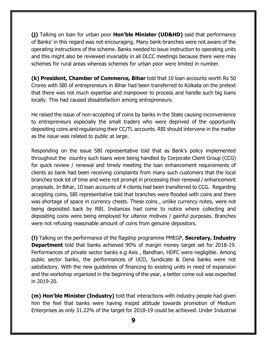**(j)** Talking on loan for urban poor **Hon'ble Minister (UD&HD)** said that performance of Banks' in this regard was not encouraging. Many bank-branches were not aware of the operating instructions of the scheme. Banks needed to issue instruction to operating units and this might also be reviewed invariably in all DLCC meetings because there were may schemes for rural areas whereas schemes for urban poor were limited in number.

**(k) President, Chamber of Commerce, Bihar** told that 10 loan accounts worth Rs 50 Crores with SBI of entrepreneurs in Bihar had been transferred to Kolkata on the pretext that there was not much expertise and manpower to process and handle such big loans locally. This had caused dissatisfaction among entrepreneurs.

He raised the issue of non-accepting of coins by banks in the State causing inconvenience to entrepreneurs especially the small traders who were deprived of the opportunity depositing coins and regularizing their CC/TL accounts. RBI should intervene in the matter as the issue was related to public at large.

Responding on the issue SBI representative told that as Bank's policy implemented throughout the country such loans were being handled by Corporate Client Group (CCG) for quick review / renewal and timely meeting the loan enhancement requirements of clients as bank had been receiving complaints from many such customers that the local branches took lot of time and were not prompt in processing their renewal / enhancement proposals. In Bihar, 10 loan accounts of 4 clients had been transferred to CCG. Regarding accepting coins, SBI representative told that branches were flooded with coins and there was shortage of space in currency chests. These coins , unlike currency notes, were not being deposited back by RBI. Instances had come to notice where collecting and depositing coins were being employed for ulterior motives / gainful purposes. Branches were not refusing reasonable amount of coins from genuine depositors.

**(l)** Talking on the performance of the flagship programme PMEGP, **Secretary, Industry Department** told that banks achieved 90% of margin money target set for 2018-19. Performances of private sector banks e.g Axis , Bandhan, HDFC were negligible. Among public sector banks, the performances of UCO, Syndicate & Dena banks were not satisfactory. With the new guidelines of financing to existing units in need of expansion and the workshop organized in the beginning of the year, a better come out was expected in 2019-20.

**(m) Hon'ble Minister (Industry)** told that interactions with industry people had given him the feel that banks were having insipid attitude towards promotion of Medium Enterprises as only 31.22% of the target for 2018-19 could be achieved. Under Industrial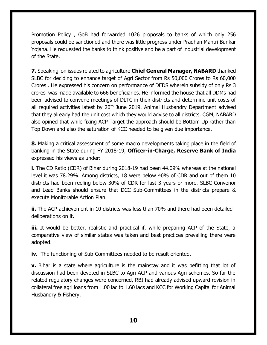Promotion Policy , GoB had forwarded 1026 proposals to banks of which only 256 proposals could be sanctioned and there was little progress under Pradhan Mantri Bunkar Yojana. He requested the banks to think positive and be a part of industrial development of the State.

**7.** Speakingon issues related to agriculture **Chief General Manager, NABARD** thanked SLBC for deciding to enhance target of Agri Sector from Rs 50,000 Crores to Rs 60,000 Crores . He expressed his concern on performance of DEDS wherein subsidy of only Rs 3 crores was made available to 666 beneficiaries. He informed the house that all DDMs had been advised to convene meetings of DLTC in their districts and determine unit costs of all required activities latest by  $20<sup>th</sup>$  June 2019. Animal Husbandry Department advised that they already had the unit cost which they would advise to all districts. CGM, NABARD also opined that while fixing ACP Target the approach should be Bottom Up rather than Top Down and also the saturation of KCC needed to be given due importance.

**8.** Making a critical assessment of some macro developments taking place in the field of banking in the State during FY 2018-19, **Officer-in-Charge, Reserve Bank of India**  expressed his views as under:

**i.** The CD Ratio (CDR) of Bihar during 2018-19 had been 44.09% whereas at the national level it was 78.29%. Among districts, 18 were below 40% of CDR and out of them 10 districts had been reeling below 30% of CDR for last 3 years or more. SLBC Convenor and Lead Banks should ensure that DCC Sub-Committees in the districts prepare & execute Monitorable Action Plan.

**ii.** The ACP achievement in 10 districts was less than 70% and there had been detailed deliberations on it.

**iii.** It would be better, realistic and practical if, while preparing ACP of the State, a comparative view of similar states was taken and best practices prevailing there were adopted.

**iv.** The functioning of Sub-Committees needed to be result oriented.

**v.** Bihar is a state where agriculture is the mainstay and it was befitting that lot of discussion had been devoted in SLBC to Agri ACP and various Agri schemes. So far the related regulatory changes were concerned, RBI had already advised upward revision in collateral free agri loans from 1.00 lac to 1.60 lacs and KCC for Working Capital for Animal Husbandry & Fishery.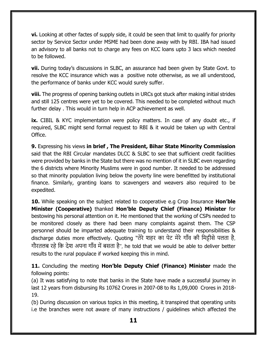**vi.** Looking at other factes of supply side, it could be seen that limit to qualify for priority sector by Service Sector under MSME had been done away with by RBI. IBA had issued an advisory to all banks not to charge any fees on KCC loans upto 3 lacs which needed to be followed.

**vii.** During today's discussions in SLBC, an assurance had been given by State Govt. to resolve the KCC insurance which was a positive note otherwise, as we all understood, the performance of banks under KCC would surely suffer.

**viii.** The progress of opening banking outlets in URCs got stuck after making initial strides and still 125 centres were yet to be covered. This needed to be completed without much further delay . This would in turn help in ACP achievement as well.

**ix.** CIBIL & KYC implementation were policy matters. In case of any doubt etc., if required, SLBC might send formal request to RBI & it would be taken up with Central Office.

**9.** Expressing his views **in brief , The President, Bihar State Minority Commission**  said that the RBI Circular mandates DLCC & SLBC to see that sufficient credit facilities were provided by banks in the State but there was no mention of it in SLBC even regarding the 6 districts where Minority Muslims were in good number. It needed to be addressed so that minority population living below the poverty line were benefitted by institutional finance. Similarly, granting loans to scavengers and weavers also required to be expedited.

**10.** While speaking on the subject related to cooperative e.g Crop Insurance **Hon'ble Minister (Cooperative)** thanked **Hon'ble Deputy Chief (Finance) Minister** for bestowing his personal attention on it. He mentioned that the working of CSPs needed to be monitored closely as there had been many complaints against them. The CSP personnel should be imparted adequate training to understand their responsibilities & discharge duties more effectively. Quoting "तेरे शहर का पेट मेरे गााँव की ममट्टीसे पलता है, गौरतलब रहे मक देश अपना गााँव में बसता है", he told that we would be able to deliver better results to the rural populace if worked keeping this in mind.

**11.** Concluding the meeting **Hon'ble Deputy Chief (Finance) Minister** made the following points:

(a) It was satisfying to note that banks in the State have made a successful journey in last 12 years from disbursing Rs 10762 Crores in 2007-08 to Rs 1,09,000 Crores in 2018- 19.

(b) During discussion on various topics in this meeting, it transpired that operating units i.e the branches were not aware of many instructions / guidelines which affected the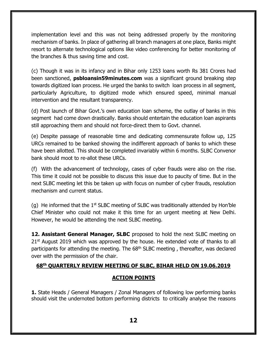implementation level and this was not being addressed properly by the monitoring mechanism of banks. In place of gathering all branch managers at one place, Banks might resort to alternate technological options like video conferencing for better monitoring of the branches & thus saving time and cost.

(c) Though it was in its infancy and in Bihar only 1253 loans worth Rs 381 Crores had been sanctioned, **psbloansin59minutes.com** was a significant ground breaking step towards digitized loan process. He urged the banks to switch loan process in all segment, particularly Agriculture, to digitized mode which ensured speed, minimal manual intervention and the resultant transparency.

(d) Post launch of Bihar Govt.'s own education loan scheme, the outlay of banks in this segment had come down drastically. Banks should entertain the education loan aspirants still approaching them and should not force-direct them to Govt. channel.

(e) Despite passage of reasonable time and dedicating commensurate follow up, 125 URCs remained to be banked showing the indifferent approach of banks to which these have been allotted. This should be completed invariably within 6 months. SLBC Convenor bank should moot to re-allot these URCs.

(f) With the advancement of technology, cases of cyber frauds were also on the rise. This time it could not be possible to discuss this issue due to paucity of time. But in the next SLBC meeting let this be taken up with focus on number of cyber frauds, resolution mechanism and current status.

(g) He informed that the  $1<sup>st</sup>$  SLBC meeting of SLBC was traditionally attended by Hon'ble Chief Minister who could not make it this time for an urgent meeting at New Delhi. However, he would be attending the next SLBC meeting.

**12. Assistant General Manager, SLBC** proposed to hold the next SLBC meeting on  $21<sup>st</sup>$  August 2019 which was approved by the house. He extended vote of thanks to all participants for attending the meeting. The 68<sup>th</sup> SLBC meeting, thereafter, was declared over with the permission of the chair.

#### **68th QUARTERLY REVIEW MEETING OF SLBC, BIHAR HELD ON 19.06.2019**

## **ACTION POINTS**

**1.** State Heads / General Managers / Zonal Managers of following low performing banks should visit the undernoted bottom performing districts to critically analyse the reasons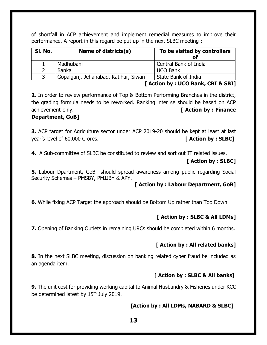of shortfall in ACP achievement and implement remedial measures to improve their performance. A report in this regard be put up in the next SLBC meeting :

| SI. No. | Name of districts(s)                 | To be visited by controllers<br>of |
|---------|--------------------------------------|------------------------------------|
|         | Madhubani                            | Central Bank of India              |
|         | Banka                                | <b>UCO Bank</b>                    |
|         | Gopalganj, Jehanabad, Katihar, Siwan | State Bank of India                |

#### **[ Action by : UCO Bank, CBI & SBI]**

**2.** In order to review performance of Top & Bottom Performing Branches in the district, the grading formula needs to be reworked. Ranking inter se should be based on ACP achievement only. **[ Action by : Finance** 

#### **Department, GoB]**

**3.** ACP target for Agriculture sector under ACP 2019-20 should be kept at least at last year's level of 60,000 Crores. **[ Action by : SLBC]**

**4.** A Sub-committee of SLBC be constituted to review and sort out IT related issues.

### **[ Action by : SLBC]**

**5.** Labour Dpartment**,** GoB should spread awareness among public regarding Social Security Schemes – PMSBY, PMJJBY & APY.

#### **[ Action by : Labour Department, GoB]**

**6.** While fixing ACP Target the approach should be Bottom Up rather than Top Down.

## **[ Action by : SLBC & All LDMs]**

**7.** Opening of Banking Outlets in remaining URCs should be completed within 6 months.

#### **[ Action by : All related banks]**

**8**. In the next SLBC meeting, discussion on banking related cyber fraud be included as an agenda item.

#### **[ Action by : SLBC & All banks]**

**9.** The unit cost for providing working capital to Animal Husbandry & Fisheries under KCC be determined latest by 15<sup>th</sup> July 2019.

#### **[Action by : All LDMs, NABARD & SLBC]**

**13**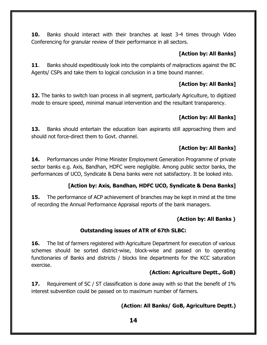**10.** Banks should interact with their branches at least 3-4 times through Video Conferencing for granular review of their performance in all sectors.

## **[Action by: All Banks]**

**11.** Banks should expeditiously look into the complaints of malpractices against the BC Agents/ CSPs and take them to logical conclusion in a time bound manner.

## **[Action by: All Banks]**

**12.** The banks to switch loan process in all segment, particularly Agriculture, to digitized mode to ensure speed, minimal manual intervention and the resultant transparency.

## **[Action by: All Banks]**

**13.** Banks should entertain the education loan aspirants still approaching them and should not force-direct them to Govt. channel.

## **[Action by: All Banks]**

**14.** Performances under Prime Minister Employment Generation Programme of private sector banks e.g. Axis, Bandhan, HDFC were negligible. Among public sector banks, the performances of UCO, Syndicate & Dena banks were not satisfactory. It be looked into.

## **[Action by: Axis, Bandhan, HDFC UCO, Syndicate & Dena Banks]**

**15.** The performance of ACP achievement of branches may be kept in mind at the time of recording the Annual Performance Appraisal reports of the bank managers.

## **(Action by: All Banks )**

## **Outstanding issues of ATR of 67th SLBC:**

**16.** The list of farmers registered with Agriculture Department for execution of various schemes should be sorted district-wise, block-wise and passed on to operating functionaries of Banks and districts / blocks line departments for the KCC saturation exercise.

## **(Action: Agriculture Deptt., GoB)**

**17.** Requirement of SC / ST classification is done away with so that the benefit of 1% interest subvention could be passed on to maximum number of farmers.

## **(Action: All Banks/ GoB, Agriculture Deptt.)**

**14**